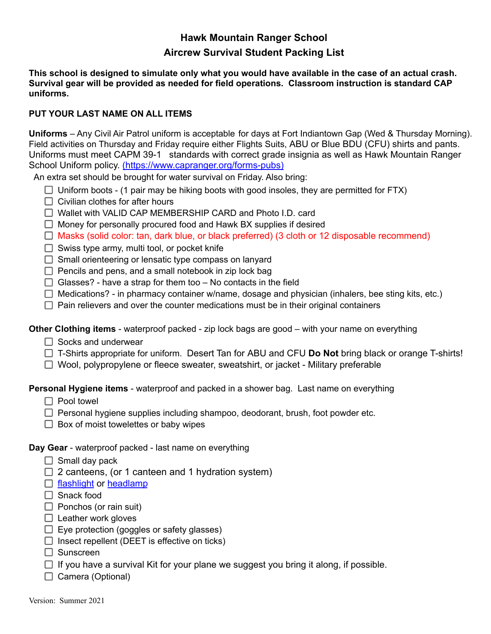## **Hawk Mountain Ranger School Aircrew Survival Student Packing List**

This school is designed to simulate only what you would have available in the case of an actual crash. **Survival gear will be provided as needed for field operations. Classroom instruction is standard CAP uniforms.**

## **PUT YOUR LAST NAME ON ALL ITEMS**

**Uniforms** – Any Civil Air Patrol uniform is acceptable for days at Fort Indiantown Gap (Wed & Thursday Morning). Field activities on Thursday and Friday require either Flights Suits, ABU or Blue BDU (CFU) shirts and pants. Uniforms must meet CAPM 39-1 standards with correct grade insignia as well as Hawk Mountain Ranger School Uniform policy. (https://www.capranger.org/forms-pubs)

An extra set should be brought for water survival on Friday. Also bring:

- $\Box$  Uniform boots (1 pair may be hiking boots with good insoles, they are permitted for FTX)
- $\Box$  Civilian clothes for after hours
- Wallet with VALID CAP MEMBERSHIP CARD and Photo I.D. card
- $\Box$  Money for personally procured food and Hawk BX supplies if desired
- $\Box$  Masks (solid color: tan, dark blue, or black preferred) (3 cloth or 12 disposable recommend)
- $\Box$  Swiss type army, multi tool, or pocket knife
- $\Box$  Small orienteering or lensatic type compass on lanyard
- $\Box$  Pencils and pens, and a small notebook in zip lock bag
- $\Box$  Glasses? have a strap for them too No contacts in the field
- $\Box$  Medications? in pharmacy container w/name, dosage and physician (inhalers, bee sting kits, etc.)
- $\Box$  Pain relievers and over the counter medications must be in their original containers

**Other Clothing items** - waterproof packed - zip lock bags are good – with your name on everything

- $\Box$  Socks and underwear
- T-Shirts appropriate for uniform. Desert Tan for ABU and CFU **Do Not** bring black or orange T-shirts!
- $\Box$  Wool, polypropylene or fleece sweater, sweatshirt, or jacket Military preferable

**Personal Hygiene items** - waterproof and packed in a shower bag. Last name on everything

- $\Box$  Pool towel
- $\Box$  Personal hygiene supplies including shampoo, deodorant, brush, foot powder etc.
- $\Box$  Box of moist towelettes or baby wipes

**Day Gear** - waterproof packed - last name on everything

- $\Box$  Small day pack
- $\Box$  2 canteens, (or 1 canteen and 1 hydration system)
- $\Box$  [flashlight](https://drive.google.com/open?id=0B980SV-ymPFJak9IUHMtQUpOQWM) or [headlamp](https://drive.google.com/open?id=0B980SV-ymPFJa282YkpTellkTHM)
- □ Snack food
- $\Box$  Ponchos (or rain suit)
- $\Box$  Leather work gloves
- $\Box$  Eye protection (goggles or safety glasses)
- $\Box$  Insect repellent (DEET is effective on ticks)
- $\Box$  Sunscreen
- $\Box$  If you have a survival Kit for your plane we suggest you bring it along, if possible.
- $\Box$  Camera (Optional)